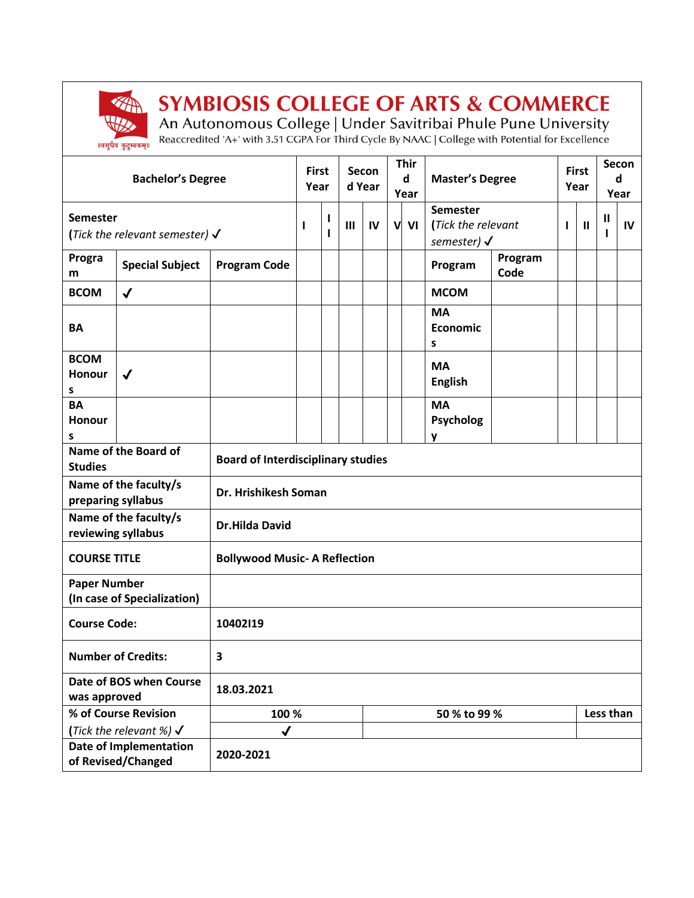

## **SYMBIOSIS COLLEGE OF ARTS & COMMERCE**

An Autonomous College | Under Savitribai Phule Pune University<br>Reaccredited 'A+' with 3.51 CGPA For Third Cycle By NAAC | College with Potential for Excellence

| <b>Bachelor's Degree</b>                              |                        |                                           | <b>First</b><br>Year |              | Secon<br>d Year |              | <b>Thir</b><br>d<br>Year |                                                                 | <b>Master's Degree</b>             |                 | <b>First</b><br>Year |   | Secon<br>d<br>Year |  |
|-------------------------------------------------------|------------------------|-------------------------------------------|----------------------|--------------|-----------------|--------------|--------------------------|-----------------------------------------------------------------|------------------------------------|-----------------|----------------------|---|--------------------|--|
| Semester<br>(Tick the relevant semester) $\checkmark$ |                        |                                           | ı<br>$\mathbf{I}$    | $\mathbf{m}$ | IV              | V<br>VI      |                          | <b>Semester</b><br>(Tick the relevant<br>semester) $\checkmark$ |                                    | ı               | $\mathbf{I}$         | Ш | IV                 |  |
| Progra<br>m                                           | <b>Special Subject</b> | <b>Program Code</b>                       |                      |              |                 |              |                          |                                                                 | Program                            | Program<br>Code |                      |   |                    |  |
| <b>BCOM</b>                                           | $\checkmark$           |                                           |                      |              |                 |              |                          |                                                                 | <b>MCOM</b>                        |                 |                      |   |                    |  |
| <b>BA</b>                                             |                        |                                           |                      |              |                 |              |                          |                                                                 | <b>MA</b><br>Economic<br>s         |                 |                      |   |                    |  |
| <b>BCOM</b><br>Honour<br>s                            | $\checkmark$           |                                           |                      |              |                 |              |                          |                                                                 | <b>MA</b><br><b>English</b>        |                 |                      |   |                    |  |
| <b>BA</b><br>Honour<br>s                              |                        |                                           |                      |              |                 |              |                          |                                                                 | <b>MA</b><br><b>Psycholog</b><br>y |                 |                      |   |                    |  |
| Name of the Board of<br><b>Studies</b>                |                        | <b>Board of Interdisciplinary studies</b> |                      |              |                 |              |                          |                                                                 |                                    |                 |                      |   |                    |  |
| Name of the faculty/s<br>preparing syllabus           |                        | Dr. Hrishikesh Soman                      |                      |              |                 |              |                          |                                                                 |                                    |                 |                      |   |                    |  |
| Name of the faculty/s<br>reviewing syllabus           |                        | <b>Dr.Hilda David</b>                     |                      |              |                 |              |                          |                                                                 |                                    |                 |                      |   |                    |  |
| <b>COURSE TITLE</b>                                   |                        | <b>Bollywood Music- A Reflection</b>      |                      |              |                 |              |                          |                                                                 |                                    |                 |                      |   |                    |  |
| <b>Paper Number</b><br>(In case of Specialization)    |                        |                                           |                      |              |                 |              |                          |                                                                 |                                    |                 |                      |   |                    |  |
| <b>Course Code:</b>                                   |                        | 10402119                                  |                      |              |                 |              |                          |                                                                 |                                    |                 |                      |   |                    |  |
| <b>Number of Credits:</b><br>3                        |                        |                                           |                      |              |                 |              |                          |                                                                 |                                    |                 |                      |   |                    |  |
| Date of BOS when Course<br>was approved               |                        | 18.03.2021                                |                      |              |                 |              |                          |                                                                 |                                    |                 |                      |   |                    |  |
| % of Course Revision                                  |                        |                                           | 100 %                |              |                 | 50 % to 99 % |                          |                                                                 |                                    | Less than       |                      |   |                    |  |
| (Tick the relevant %) $\checkmark$                    |                        | $\checkmark$                              |                      |              |                 |              |                          |                                                                 |                                    |                 |                      |   |                    |  |
| <b>Date of Implementation</b><br>of Revised/Changed   |                        | 2020-2021                                 |                      |              |                 |              |                          |                                                                 |                                    |                 |                      |   |                    |  |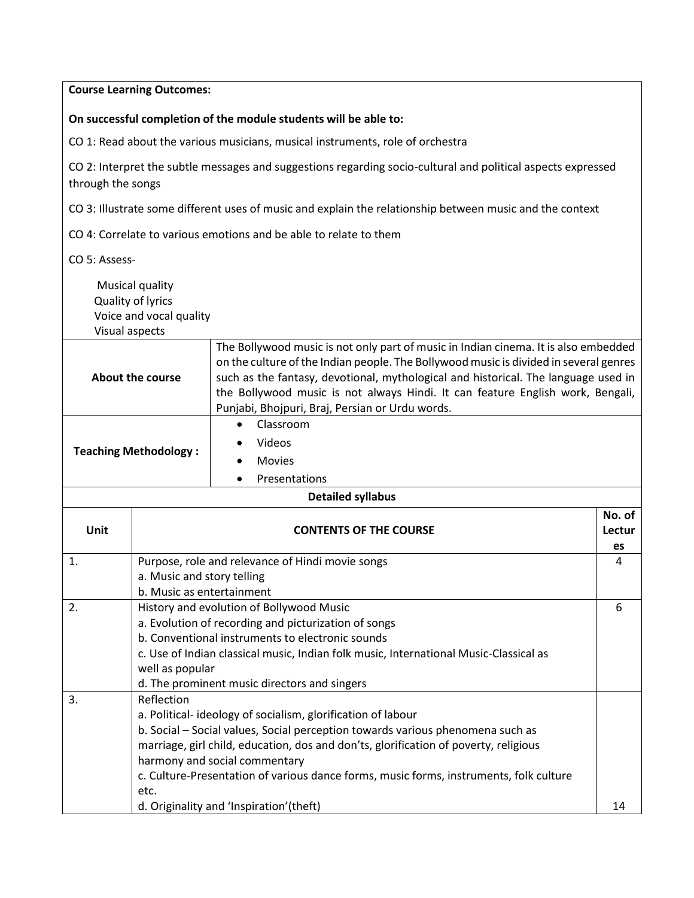|                                                                                | <b>Course Learning Outcomes:</b>                                                                                                                                                                                                                                                                                                                                                                                                        |                                                                                                                                                                                                                                                                                                                                                                                                         |  |  |  |  |  |
|--------------------------------------------------------------------------------|-----------------------------------------------------------------------------------------------------------------------------------------------------------------------------------------------------------------------------------------------------------------------------------------------------------------------------------------------------------------------------------------------------------------------------------------|---------------------------------------------------------------------------------------------------------------------------------------------------------------------------------------------------------------------------------------------------------------------------------------------------------------------------------------------------------------------------------------------------------|--|--|--|--|--|
|                                                                                |                                                                                                                                                                                                                                                                                                                                                                                                                                         | On successful completion of the module students will be able to:                                                                                                                                                                                                                                                                                                                                        |  |  |  |  |  |
| CO 1: Read about the various musicians, musical instruments, role of orchestra |                                                                                                                                                                                                                                                                                                                                                                                                                                         |                                                                                                                                                                                                                                                                                                                                                                                                         |  |  |  |  |  |
| through the songs                                                              |                                                                                                                                                                                                                                                                                                                                                                                                                                         | CO 2: Interpret the subtle messages and suggestions regarding socio-cultural and political aspects expressed                                                                                                                                                                                                                                                                                            |  |  |  |  |  |
|                                                                                |                                                                                                                                                                                                                                                                                                                                                                                                                                         | CO 3: Illustrate some different uses of music and explain the relationship between music and the context                                                                                                                                                                                                                                                                                                |  |  |  |  |  |
|                                                                                |                                                                                                                                                                                                                                                                                                                                                                                                                                         | CO 4: Correlate to various emotions and be able to relate to them                                                                                                                                                                                                                                                                                                                                       |  |  |  |  |  |
| CO 5: Assess-                                                                  |                                                                                                                                                                                                                                                                                                                                                                                                                                         |                                                                                                                                                                                                                                                                                                                                                                                                         |  |  |  |  |  |
| Visual aspects                                                                 | Musical quality<br>Quality of lyrics<br>Voice and vocal quality                                                                                                                                                                                                                                                                                                                                                                         |                                                                                                                                                                                                                                                                                                                                                                                                         |  |  |  |  |  |
| <b>About the course</b>                                                        |                                                                                                                                                                                                                                                                                                                                                                                                                                         | The Bollywood music is not only part of music in Indian cinema. It is also embedded<br>on the culture of the Indian people. The Bollywood music is divided in several genres<br>such as the fantasy, devotional, mythological and historical. The language used in<br>the Bollywood music is not always Hindi. It can feature English work, Bengali,<br>Punjabi, Bhojpuri, Braj, Persian or Urdu words. |  |  |  |  |  |
| <b>Teaching Methodology:</b>                                                   |                                                                                                                                                                                                                                                                                                                                                                                                                                         | Classroom<br>$\bullet$<br>Videos<br><b>Movies</b><br>Presentations                                                                                                                                                                                                                                                                                                                                      |  |  |  |  |  |
|                                                                                |                                                                                                                                                                                                                                                                                                                                                                                                                                         | <b>Detailed syllabus</b>                                                                                                                                                                                                                                                                                                                                                                                |  |  |  |  |  |
| <b>Unit</b>                                                                    | <b>CONTENTS OF THE COURSE</b>                                                                                                                                                                                                                                                                                                                                                                                                           |                                                                                                                                                                                                                                                                                                                                                                                                         |  |  |  |  |  |
| 1.                                                                             | Purpose, role and relevance of Hindi movie songs<br>a. Music and story telling<br>b. Music as entertainment                                                                                                                                                                                                                                                                                                                             |                                                                                                                                                                                                                                                                                                                                                                                                         |  |  |  |  |  |
| 2.                                                                             | History and evolution of Bollywood Music<br>6<br>a. Evolution of recording and picturization of songs<br>b. Conventional instruments to electronic sounds<br>c. Use of Indian classical music, Indian folk music, International Music-Classical as<br>well as popular<br>d. The prominent music directors and singers                                                                                                                   |                                                                                                                                                                                                                                                                                                                                                                                                         |  |  |  |  |  |
| 3.                                                                             | Reflection<br>a. Political-ideology of socialism, glorification of labour<br>b. Social - Social values, Social perception towards various phenomena such as<br>marriage, girl child, education, dos and don'ts, glorification of poverty, religious<br>harmony and social commentary<br>c. Culture-Presentation of various dance forms, music forms, instruments, folk culture<br>etc.<br>d. Originality and 'Inspiration'(theft)<br>14 |                                                                                                                                                                                                                                                                                                                                                                                                         |  |  |  |  |  |